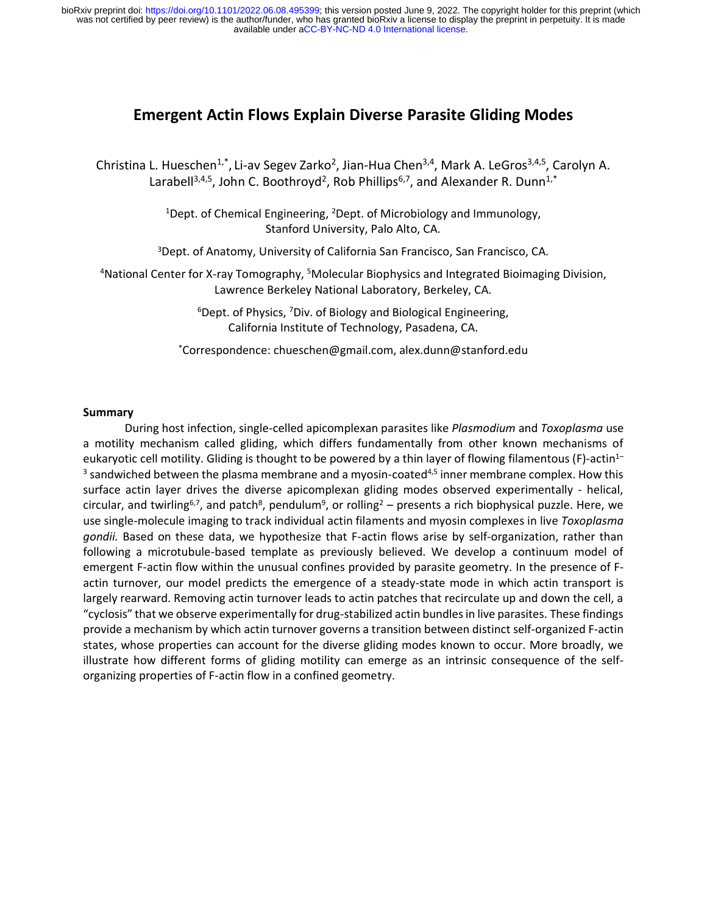# **Emergent Actin Flows Explain Diverse Parasite Gliding Modes**

Christina L. Hueschen<sup>1,\*</sup>, Li-av Segev Zarko<sup>2</sup>, Jian-Hua Chen<sup>3,4</sup>, Mark A. LeGros<sup>3,4,5</sup>, Carolyn A. Larabell<sup>3,4,5</sup>, John C. Boothroyd<sup>2</sup>, Rob Phillips<sup>6,7</sup>, and Alexander R. Dunn<sup>1,\*</sup>

> <sup>1</sup>Dept. of Chemical Engineering, <sup>2</sup>Dept. of Microbiology and Immunology, Stanford University, Palo Alto, CA.

<sup>3</sup>Dept. of Anatomy, University of California San Francisco, San Francisco, CA.

<sup>4</sup>National Center for X-ray Tomography, <sup>5</sup>Molecular Biophysics and Integrated Bioimaging Division, Lawrence Berkeley National Laboratory, Berkeley, CA.

> $6$ Dept. of Physics,  $7$ Div. of Biology and Biological Engineering, California Institute of Technology, Pasadena, CA.

\*Correspondence: chueschen@gmail.com, alex.dunn@stanford.edu

#### **Summary**

During host infection, single-celled apicomplexan parasites like *Plasmodium* and *Toxoplasma* use a motility mechanism called gliding, which differs fundamentally from other known mechanisms of eukaryotic cell motility. Gliding is thought to be powered by a thin layer of flowing filamentous (F)-actin<sup>1–</sup>  $3$  sandwiched between the plasma membrane and a myosin-coated<sup>4,5</sup> inner membrane complex. How this surface actin layer drives the diverse apicomplexan gliding modes observed experimentally - helical, circular, and twirling<sup>6,7</sup>, and patch<sup>8</sup>, pendulum<sup>9</sup>, or rolling<sup>2</sup> – presents a rich biophysical puzzle. Here, we use single-molecule imaging to track individual actin filaments and myosin complexes in live *Toxoplasma gondii.* Based on these data, we hypothesize that F-actin flows arise by self-organization, rather than following a microtubule-based template as previously believed. We develop a continuum model of emergent F-actin flow within the unusual confines provided by parasite geometry. In the presence of Factin turnover, our model predicts the emergence of a steady-state mode in which actin transport is largely rearward. Removing actin turnover leads to actin patches that recirculate up and down the cell, a "cyclosis" that we observe experimentally for drug-stabilized actin bundles in live parasites. These findings provide a mechanism by which actin turnover governs a transition between distinct self-organized F-actin states, whose properties can account for the diverse gliding modes known to occur. More broadly, we illustrate how different forms of gliding motility can emerge as an intrinsic consequence of the selforganizing properties of F-actin flow in a confined geometry.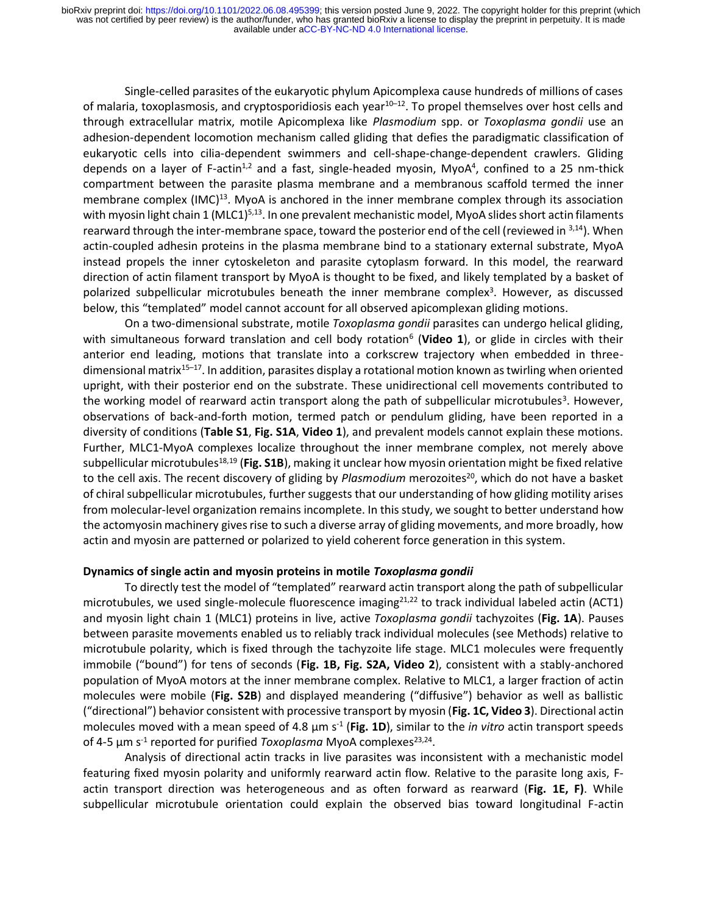Single-celled parasites of the eukaryotic phylum Apicomplexa cause hundreds of millions of cases of malaria, toxoplasmosis, and cryptosporidiosis each year<sup>10–12</sup>. To propel themselves over host cells and through extracellular matrix, motile Apicomplexa like *Plasmodium* spp. or *Toxoplasma gondii* use an adhesion-dependent locomotion mechanism called gliding that defies the paradigmatic classification of eukaryotic cells into cilia-dependent swimmers and cell-shape-change-dependent crawlers. Gliding depends on a layer of F-actin<sup>1,2</sup> and a fast, single-headed myosin, MyoA<sup>4</sup>, confined to a 25 nm-thick compartment between the parasite plasma membrane and a membranous scaffold termed the inner membrane complex (IMC)<sup>13</sup>. MyoA is anchored in the inner membrane complex through its association with myosin light chain 1 (MLC1)<sup>5,13</sup>. In one prevalent mechanistic model, MyoA slides short actin filaments rearward through the inter-membrane space, toward the posterior end of the cell (reviewed in  $3,14$ ). When actin-coupled adhesin proteins in the plasma membrane bind to a stationary external substrate, MyoA instead propels the inner cytoskeleton and parasite cytoplasm forward. In this model, the rearward direction of actin filament transport by MyoA is thought to be fixed, and likely templated by a basket of polarized subpellicular microtubules beneath the inner membrane complex<sup>3</sup>. However, as discussed below, this "templated" model cannot account for all observed apicomplexan gliding motions.

On a two-dimensional substrate, motile *Toxoplasma gondii* parasites can undergo helical gliding, with simultaneous forward translation and cell body rotation<sup>6</sup> (Video 1), or glide in circles with their anterior end leading, motions that translate into a corkscrew trajectory when embedded in threedimensional matrix<sup>15-17</sup>. In addition, parasites display a rotational motion known as twirling when oriented upright, with their posterior end on the substrate. These unidirectional cell movements contributed to the working model of rearward actin transport along the path of subpellicular microtubules<sup>3</sup>. However, observations of back-and-forth motion, termed patch or pendulum gliding, have been reported in a diversity of conditions (**Table S1**, **Fig. S1A**, **Video 1**), and prevalent models cannot explain these motions. Further, MLC1-MyoA complexes localize throughout the inner membrane complex, not merely above subpellicular microtubules<sup>18,19</sup> (Fig. S1B), making it unclear how myosin orientation might be fixed relative to the cell axis. The recent discovery of gliding by *Plasmodium* merozoites<sup>20</sup>, which do not have a basket of chiral subpellicular microtubules, further suggests that our understanding of how gliding motility arises from molecular-level organization remains incomplete. In this study, we sought to better understand how the actomyosin machinery gives rise to such a diverse array of gliding movements, and more broadly, how actin and myosin are patterned or polarized to yield coherent force generation in this system.

#### **Dynamics of single actin and myosin proteins in motile** *Toxoplasma gondii*

To directly test the model of "templated" rearward actin transport along the path of subpellicular microtubules, we used single-molecule fluorescence imaging $^{21,22}$  to track individual labeled actin (ACT1) and myosin light chain 1 (MLC1) proteins in live, active *Toxoplasma gondii* tachyzoites (**Fig. 1A**). Pauses between parasite movements enabled us to reliably track individual molecules (see Methods) relative to microtubule polarity, which is fixed through the tachyzoite life stage. MLC1 molecules were frequently immobile ("bound") for tens of seconds (**Fig. 1B, Fig. S2A, Video 2**), consistent with a stably-anchored population of MyoA motors at the inner membrane complex. Relative to MLC1, a larger fraction of actin molecules were mobile (**Fig. S2B**) and displayed meandering ("diffusive") behavior as well as ballistic ("directional") behavior consistent with processive transport by myosin (**Fig. 1C, Video 3**). Directional actin molecules moved with a mean speed of 4.8 μm s<sup>-1</sup> (Fig. 1D), similar to the *in vitro* actin transport speeds of 4-5 µm s<sup>-1</sup> reported for purified *Toxoplasma* MyoA complexes<sup>23,24</sup>.

Analysis of directional actin tracks in live parasites was inconsistent with a mechanistic model featuring fixed myosin polarity and uniformly rearward actin flow. Relative to the parasite long axis, Factin transport direction was heterogeneous and as often forward as rearward (**Fig. 1E, F)**. While subpellicular microtubule orientation could explain the observed bias toward longitudinal F-actin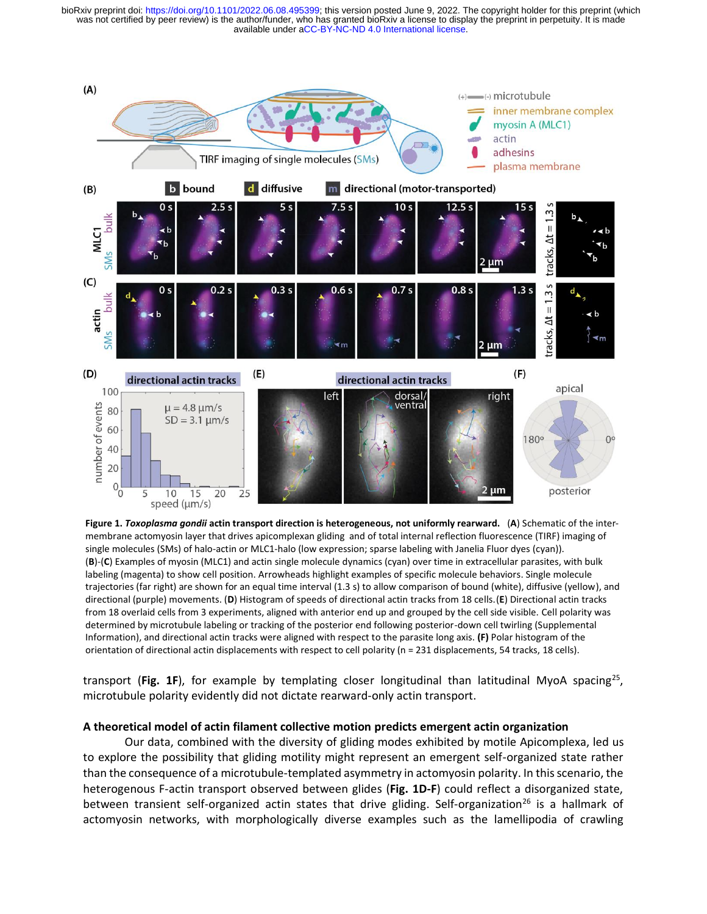



transport (Fig. 1F), for example by templating closer longitudinal than latitudinal MyoA spacing<sup>25</sup>, microtubule polarity evidently did not dictate rearward-only actin transport.

#### **A theoretical model of actin filament collective motion predicts emergent actin organization**

Our data, combined with the diversity of gliding modes exhibited by motile Apicomplexa, led us to explore the possibility that gliding motility might represent an emergent self-organized state rather than the consequence of a microtubule-templated asymmetry in actomyosin polarity. In this scenario, the heterogenous F-actin transport observed between glides (**Fig. 1D-F**) could reflect a disorganized state, between transient self-organized actin states that drive gliding. Self-organization<sup>26</sup> is a hallmark of actomyosin networks, with morphologically diverse examples such as the lamellipodia of crawling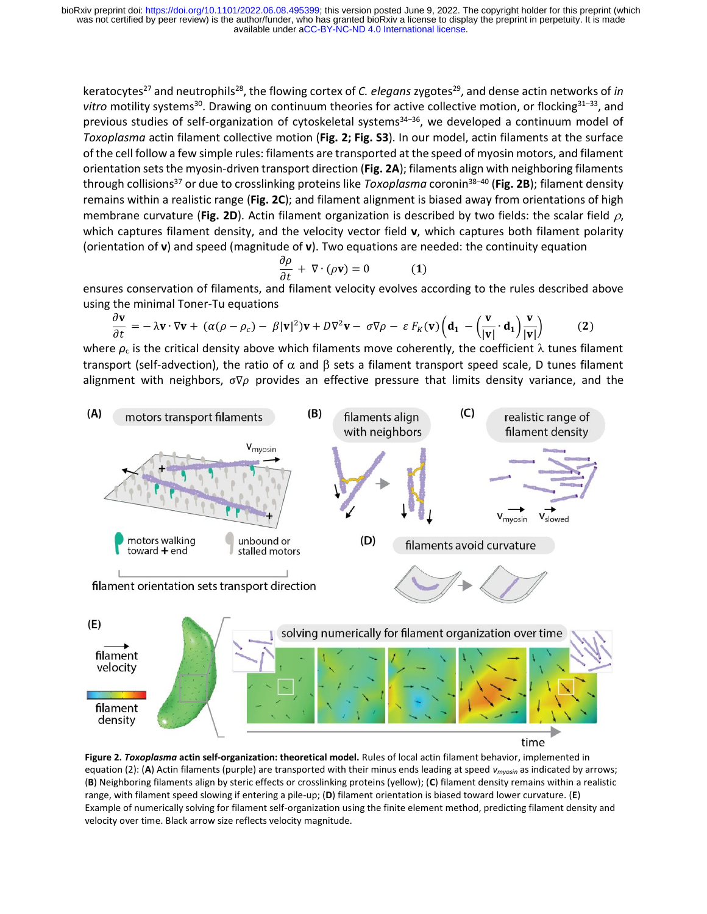keratocytes<sup>27</sup> and neutrophils<sup>28</sup>, the flowing cortex of *C. elegans* zygotes<sup>29</sup>, and dense actin networks of *in* vitro motility systems<sup>30</sup>. Drawing on continuum theories for active collective motion, or flocking<sup>31–33</sup>, and previous studies of self-organization of cytoskeletal systems<sup>34-36</sup>, we developed a continuum model of *Toxoplasma* actin filament collective motion (**Fig. 2; Fig. S3**). In our model, actin filaments at the surface of the cell follow a few simple rules: filaments are transported at the speed of myosin motors, and filament orientation sets the myosin-driven transport direction (**Fig. 2A**); filaments align with neighboring filaments through collisions<sup>37</sup> or due to crosslinking proteins like *Toxoplasma* coronin<sup>38</sup>–<sup>40</sup> (**Fig. 2B**); filament density remains within a realistic range (**Fig. 2C**); and filament alignment is biased away from orientations of high membrane curvature (Fig. 2D). Actin filament organization is described by two fields: the scalar field  $\rho$ , which captures filament density, and the velocity vector field **v**, which captures both filament polarity (orientation of **v**) and speed (magnitude of **v**). Two equations are needed: the continuity equation

$$
\frac{\partial \rho}{\partial t} + \nabla \cdot (\rho \mathbf{v}) = 0 \tag{1}
$$

ensures conservation of filaments, and filament velocity evolves according to the rules described above using the minimal Toner-Tu equations

$$
\frac{\partial \mathbf{v}}{\partial t} = -\lambda \mathbf{v} \cdot \nabla \mathbf{v} + (\alpha(\rho - \rho_c) - \beta |\mathbf{v}|^2) \mathbf{v} + D \nabla^2 \mathbf{v} - \sigma \nabla \rho - \varepsilon F_K(\mathbf{v}) \left( \mathbf{d}_1 - \left( \frac{\mathbf{v}}{|\mathbf{v}|} \cdot \mathbf{d}_1 \right) \frac{\mathbf{v}}{|\mathbf{v}|} \right) \tag{2}
$$

where  $\rho_c$  is the critical density above which filaments move coherently, the coefficient  $\lambda$  tunes filament transport (self-advection), the ratio of  $\alpha$  and  $\beta$  sets a filament transport speed scale, D tunes filament alignment with neighbors,  $\sigma \nabla \rho$  provides an effective pressure that limits density variance, and the



**Figure 2.** *Toxoplasma* **actin self-organization: theoretical model.** Rules of local actin filament behavior, implemented in equation (2): (**A**) Actin filaments (purple) are transported with their minus ends leading at speed *vmyosin* as indicated by arrows; (**B**) Neighboring filaments align by steric effects or crosslinking proteins (yellow); (**C**) filament density remains within a realistic range, with filament speed slowing if entering a pile-up; (**D**) filament orientation is biased toward lower curvature. (**E**) Example of numerically solving for filament self-organization using the finite element method, predicting filament density and velocity over time. Black arrow size reflects velocity magnitude.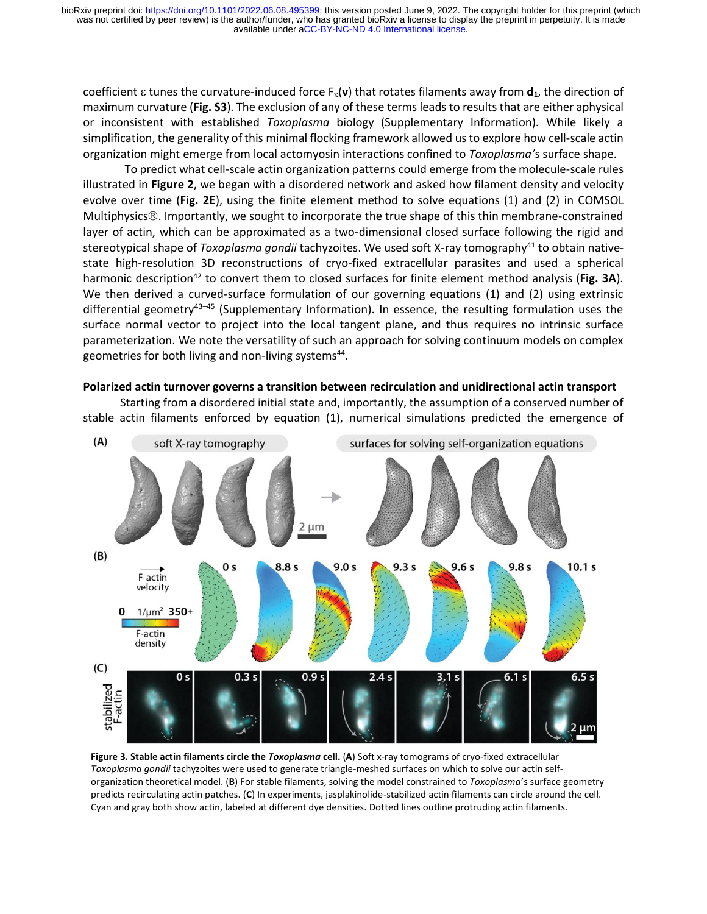coefficient  $\varepsilon$  tunes the curvature-induced force  $F_k(\mathbf{v})$  that rotates filaments away from  $\mathbf{d}_1$ , the direction of maximum curvature (**Fig. S3**). The exclusion of any of these terms leads to results that are either aphysical or inconsistent with established *Toxoplasma* biology (Supplementary Information). While likely a simplification, the generality of this minimal flocking framework allowed us to explore how cell-scale actin organization might emerge from local actomyosin interactions confined to *Toxoplasma'*s surface shape.

To predict what cell-scale actin organization patterns could emerge from the molecule-scale rules illustrated in **Figure 2**, we began with a disordered network and asked how filament density and velocity evolve over time (**Fig. 2E**), using the finite element method to solve equations (1) and (2) in COMSOL Multiphysics<sup>®</sup>. Importantly, we sought to incorporate the true shape of this thin membrane-constrained layer of actin, which can be approximated as a two-dimensional closed surface following the rigid and stereotypical shape of *Toxoplasma gondii* tachyzoites. We used soft X-ray tomography<sup>41</sup> to obtain nativestate high-resolution 3D reconstructions of cryo-fixed extracellular parasites and used a spherical harmonic description<sup>42</sup> to convert them to closed surfaces for finite element method analysis (Fig. 3A). We then derived a curved-surface formulation of our governing equations (1) and (2) using extrinsic differential geometry<sup>43-45</sup> (Supplementary Information). In essence, the resulting formulation uses the surface normal vector to project into the local tangent plane, and thus requires no intrinsic surface parameterization. We note the versatility of such an approach for solving continuum models on complex geometries for both living and non-living systems<sup>44</sup>.

#### **Polarized actin turnover governs a transition between recirculation and unidirectional actin transport**

Starting from a disordered initial state and, importantly, the assumption of a conserved number of stable actin filaments enforced by equation (1), numerical simulations predicted the emergence of



**Figure 3. Stable actin filaments circle the** *Toxoplasma* **cell.** (**A**) Soft x-ray tomograms of cryo-fixed extracellular *Toxoplasma gondii* tachyzoites were used to generate triangle-meshed surfaces on which to solve our actin selforganization theoretical model. (**B**) For stable filaments, solving the model constrained to *Toxoplasma*'s surface geometry predicts recirculating actin patches. (**C**) In experiments, jasplakinolide-stabilized actin filaments can circle around the cell. Cyan and gray both show actin, labeled at different dye densities. Dotted lines outline protruding actin filaments.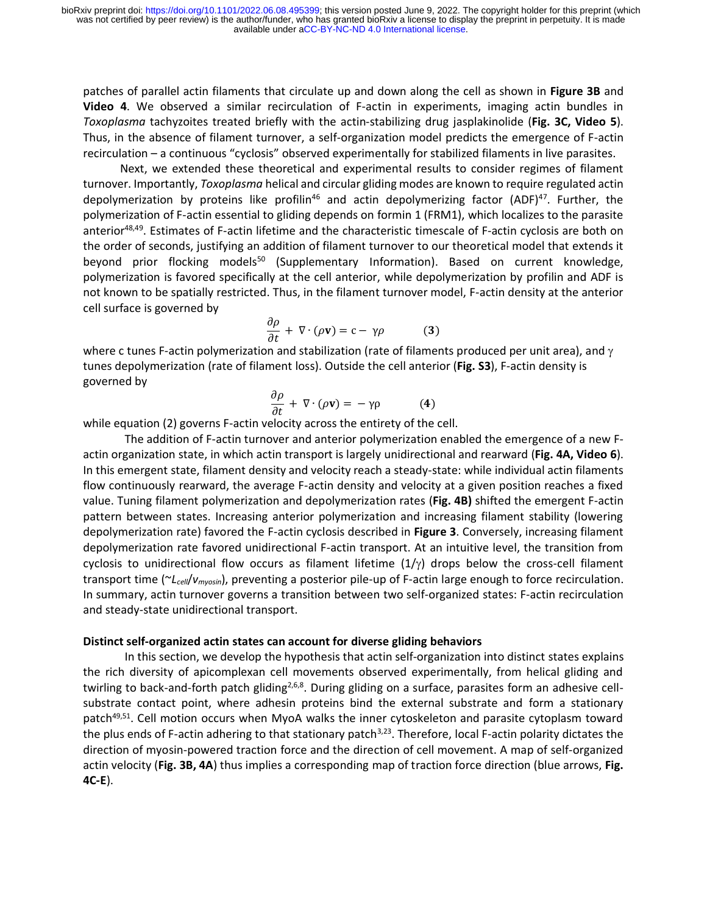patches of parallel actin filaments that circulate up and down along the cell as shown in **Figure 3B** and **Video 4**. We observed a similar recirculation of F-actin in experiments, imaging actin bundles in *Toxoplasma* tachyzoites treated briefly with the actin-stabilizing drug jasplakinolide (**Fig. 3C, Video 5**). Thus, in the absence of filament turnover, a self-organization model predicts the emergence of F-actin recirculation – a continuous "cyclosis" observed experimentally for stabilized filaments in live parasites.

Next, we extended these theoretical and experimental results to consider regimes of filament turnover. Importantly, *Toxoplasma* helical and circular gliding modes are known to require regulated actin depolymerization by proteins like profilin<sup>46</sup> and actin depolymerizing factor (ADF)<sup>47</sup>. Further, the polymerization of F-actin essential to gliding depends on formin 1 (FRM1), which localizes to the parasite anterior<sup>48,49</sup>. Estimates of F-actin lifetime and the characteristic timescale of F-actin cyclosis are both on the order of seconds, justifying an addition of filament turnover to our theoretical model that extends it beyond prior flocking models<sup>50</sup> (Supplementary Information). Based on current knowledge, polymerization is favored specifically at the cell anterior, while depolymerization by profilin and ADF is not known to be spatially restricted. Thus, in the filament turnover model, F-actin density at the anterior cell surface is governed by

$$
\frac{\partial \rho}{\partial t} + \nabla \cdot (\rho \mathbf{v}) = \mathbf{c} - \gamma \rho \tag{3}
$$

where c tunes F-actin polymerization and stabilization (rate of filaments produced per unit area), and  $\gamma$ tunes depolymerization (rate of filament loss). Outside the cell anterior (**Fig. S3**), F-actin density is governed by

$$
\frac{\partial \rho}{\partial t} + \nabla \cdot (\rho \mathbf{v}) = -\gamma \rho \tag{4}
$$

while equation (2) governs F-actin velocity across the entirety of the cell.

The addition of F-actin turnover and anterior polymerization enabled the emergence of a new Factin organization state, in which actin transport is largely unidirectional and rearward (**Fig. 4A, Video 6**). In this emergent state, filament density and velocity reach a steady-state: while individual actin filaments flow continuously rearward, the average F-actin density and velocity at a given position reaches a fixed value. Tuning filament polymerization and depolymerization rates (**Fig. 4B)** shifted the emergent F-actin pattern between states. Increasing anterior polymerization and increasing filament stability (lowering depolymerization rate) favored the F-actin cyclosis described in **Figure 3**. Conversely, increasing filament depolymerization rate favored unidirectional F-actin transport. At an intuitive level, the transition from cyclosis to unidirectional flow occurs as filament lifetime  $(1/\gamma)$  drops below the cross-cell filament transport time (~*Lcell*/*vmyosin*), preventing a posterior pile-up of F-actin large enough to force recirculation. In summary, actin turnover governs a transition between two self-organized states: F-actin recirculation and steady-state unidirectional transport.

## **Distinct self-organized actin states can account for diverse gliding behaviors**

In this section, we develop the hypothesis that actin self-organization into distinct states explains the rich diversity of apicomplexan cell movements observed experimentally, from helical gliding and twirling to back-and-forth patch gliding<sup>2,6,8</sup>. During gliding on a surface, parasites form an adhesive cellsubstrate contact point, where adhesin proteins bind the external substrate and form a stationary patch<sup>49,51</sup>. Cell motion occurs when MyoA walks the inner cytoskeleton and parasite cytoplasm toward the plus ends of F-actin adhering to that stationary patch<sup>3,23</sup>. Therefore, local F-actin polarity dictates the direction of myosin-powered traction force and the direction of cell movement. A map of self-organized actin velocity (**Fig. 3B, 4A**) thus implies a corresponding map of traction force direction (blue arrows, **Fig. 4C-E**).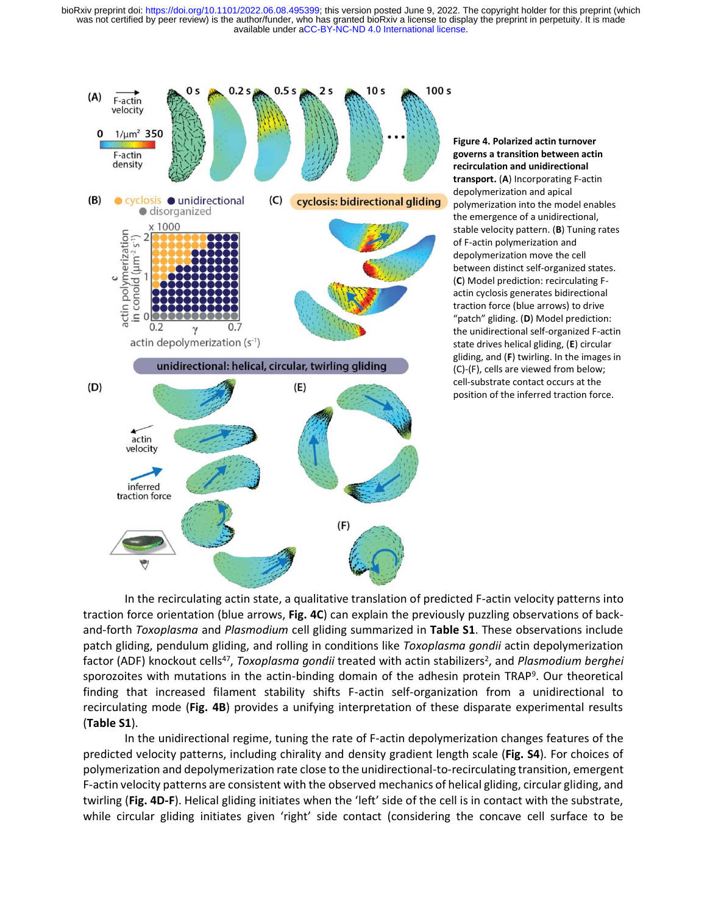

**Figure 4. Polarized actin turnover governs a transition between actin recirculation and unidirectional transport.** (**A**) Incorporating F-actin depolymerization and apical polymerization into the model enables the emergence of a unidirectional, stable velocity pattern. (**B**) Tuning rates of F-actin polymerization and depolymerization move the cell between distinct self-organized states. (**C**) Model prediction: recirculating Factin cyclosis generates bidirectional traction force (blue arrows) to drive "patch" gliding. (**D**) Model prediction: the unidirectional self-organized F-actin state drives helical gliding, (**E**) circular gliding, and (**F**) twirling. In the images in (C)-(F), cells are viewed from below; cell-substrate contact occurs at the position of the inferred traction force.

In the recirculating actin state, a qualitative translation of predicted F-actin velocity patterns into traction force orientation (blue arrows, **Fig. 4C**) can explain the previously puzzling observations of backand-forth *Toxoplasma* and *Plasmodium* cell gliding summarized in **Table S1**. These observations include patch gliding, pendulum gliding, and rolling in conditions like *Toxoplasma gondii* actin depolymerization factor (ADF) knockout cells<sup>47</sup>, *Toxoplasma gondii* treated with actin stabilizers<sup>2</sup>, and *Plasmodium berghei* sporozoites with mutations in the actin-binding domain of the adhesin protein TRAP<sup>9</sup>. Our theoretical finding that increased filament stability shifts F-actin self-organization from a unidirectional to recirculating mode (**Fig. 4B**) provides a unifying interpretation of these disparate experimental results (**Table S1**).

In the unidirectional regime, tuning the rate of F-actin depolymerization changes features of the predicted velocity patterns, including chirality and density gradient length scale (**Fig. S4**). For choices of polymerization and depolymerization rate close to the unidirectional-to-recirculating transition, emergent F-actin velocity patterns are consistent with the observed mechanics of helical gliding, circular gliding, and twirling (**Fig. 4D-F**). Helical gliding initiates when the 'left' side of the cell is in contact with the substrate, while circular gliding initiates given 'right' side contact (considering the concave cell surface to be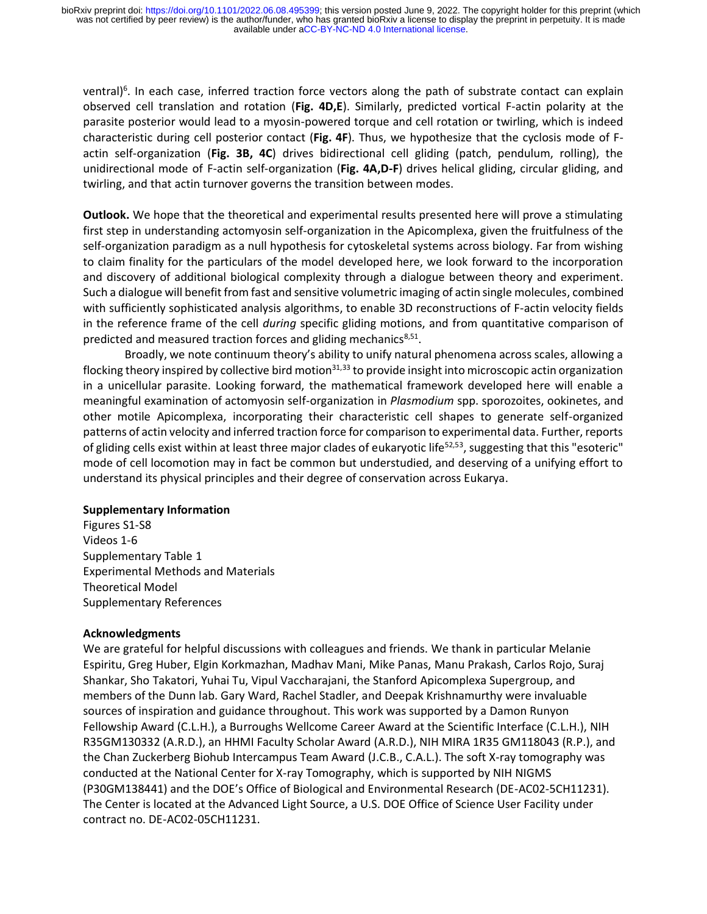ventral)<sup>6</sup>. In each case, inferred traction force vectors along the path of substrate contact can explain observed cell translation and rotation (**Fig. 4D,E**). Similarly, predicted vortical F-actin polarity at the parasite posterior would lead to a myosin-powered torque and cell rotation or twirling, which is indeed characteristic during cell posterior contact (**Fig. 4F**). Thus, we hypothesize that the cyclosis mode of Factin self-organization (**Fig. 3B, 4C**) drives bidirectional cell gliding (patch, pendulum, rolling), the unidirectional mode of F-actin self-organization (**Fig. 4A,D-F**) drives helical gliding, circular gliding, and twirling, and that actin turnover governs the transition between modes.

**Outlook.** We hope that the theoretical and experimental results presented here will prove a stimulating first step in understanding actomyosin self-organization in the Apicomplexa, given the fruitfulness of the self-organization paradigm as a null hypothesis for cytoskeletal systems across biology. Far from wishing to claim finality for the particulars of the model developed here, we look forward to the incorporation and discovery of additional biological complexity through a dialogue between theory and experiment. Such a dialogue will benefit from fast and sensitive volumetric imaging of actin single molecules, combined with sufficiently sophisticated analysis algorithms, to enable 3D reconstructions of F-actin velocity fields in the reference frame of the cell *during* specific gliding motions, and from quantitative comparison of predicted and measured traction forces and gliding mechanics<sup>8,51</sup>.

Broadly, we note continuum theory's ability to unify natural phenomena across scales, allowing a flocking theory inspired by collective bird motion $31,33$  to provide insight into microscopic actin organization in a unicellular parasite. Looking forward, the mathematical framework developed here will enable a meaningful examination of actomyosin self-organization in *Plasmodium* spp. sporozoites, ookinetes, and other motile Apicomplexa, incorporating their characteristic cell shapes to generate self-organized patterns of actin velocity and inferred traction force for comparison to experimental data. Further, reports of gliding cells exist within at least three major clades of eukaryotic life<sup>52,53</sup>, suggesting that this "esoteric" mode of cell locomotion may in fact be common but understudied, and deserving of a unifying effort to understand its physical principles and their degree of conservation across Eukarya.

## **Supplementary Information**

Figures S1-S8 Videos 1-6 Supplementary Table 1 Experimental Methods and Materials Theoretical Model Supplementary References

## **Acknowledgments**

We are grateful for helpful discussions with colleagues and friends. We thank in particular Melanie Espiritu, Greg Huber, Elgin Korkmazhan, Madhav Mani, Mike Panas, Manu Prakash, Carlos Rojo, Suraj Shankar, Sho Takatori, Yuhai Tu, Vipul Vaccharajani, the Stanford Apicomplexa Supergroup, and members of the Dunn lab. Gary Ward, Rachel Stadler, and Deepak Krishnamurthy were invaluable sources of inspiration and guidance throughout. This work was supported by a Damon Runyon Fellowship Award (C.L.H.), a Burroughs Wellcome Career Award at the Scientific Interface (C.L.H.), NIH R35GM130332 (A.R.D.), an HHMI Faculty Scholar Award (A.R.D.), NIH MIRA 1R35 GM118043 (R.P.), and the Chan Zuckerberg Biohub Intercampus Team Award (J.C.B., C.A.L.). The soft X-ray tomography was conducted at the National Center for X-ray Tomography, which is supported by NIH NIGMS (P30GM138441) and the DOE's Office of Biological and Environmental Research (DE-AC02-5CH11231). The Center is located at the Advanced Light Source, a U.S. DOE Office of Science User Facility under contract no. DE-AC02-05CH11231.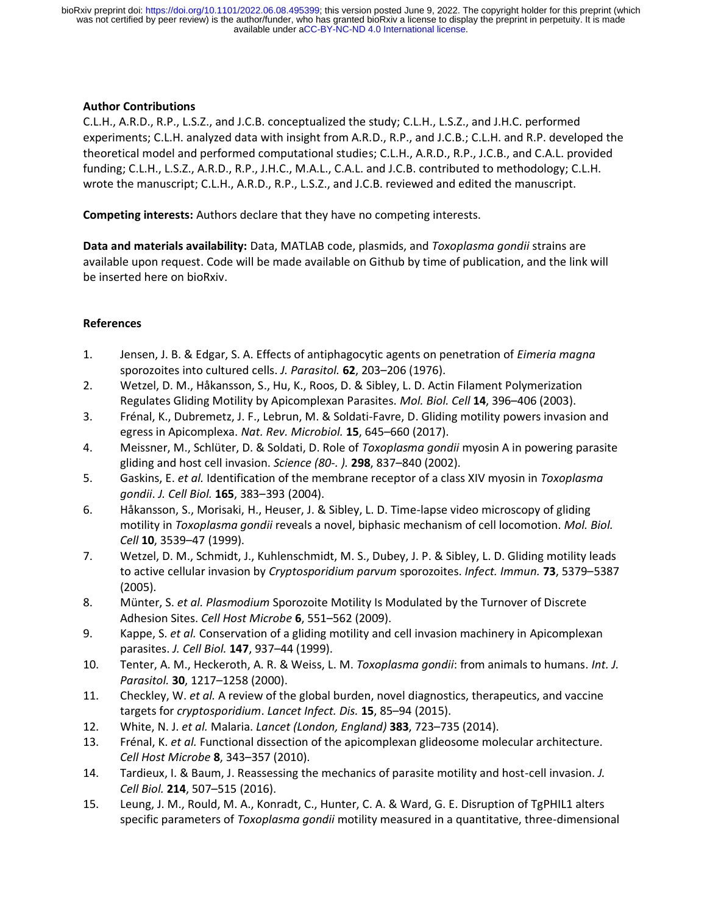## **Author Contributions**

C.L.H., A.R.D., R.P., L.S.Z., and J.C.B. conceptualized the study; C.L.H., L.S.Z., and J.H.C. performed experiments; C.L.H. analyzed data with insight from A.R.D., R.P., and J.C.B.; C.L.H. and R.P. developed the theoretical model and performed computational studies; C.L.H., A.R.D., R.P., J.C.B., and C.A.L. provided funding; C.L.H., L.S.Z., A.R.D., R.P., J.H.C., M.A.L., C.A.L. and J.C.B. contributed to methodology; C.L.H. wrote the manuscript; C.L.H., A.R.D., R.P., L.S.Z., and J.C.B. reviewed and edited the manuscript.

**Competing interests:** Authors declare that they have no competing interests.

**Data and materials availability:** Data, MATLAB code, plasmids, and *Toxoplasma gondii* strains are available upon request. Code will be made available on Github by time of publication, and the link will be inserted here on bioRxiv.

## **References**

- 1. Jensen, J. B. & Edgar, S. A. Effects of antiphagocytic agents on penetration of *Eimeria magna* sporozoites into cultured cells. *J. Parasitol.* **62**, 203–206 (1976).
- 2. Wetzel, D. M., Håkansson, S., Hu, K., Roos, D. & Sibley, L. D. Actin Filament Polymerization Regulates Gliding Motility by Apicomplexan Parasites. *Mol. Biol. Cell* **14**, 396–406 (2003).
- 3. Frénal, K., Dubremetz, J. F., Lebrun, M. & Soldati-Favre, D. Gliding motility powers invasion and egress in Apicomplexa. *Nat. Rev. Microbiol.* **15**, 645–660 (2017).
- 4. Meissner, M., Schlüter, D. & Soldati, D. Role of *Toxoplasma gondii* myosin A in powering parasite gliding and host cell invasion. *Science (80-. ).* **298**, 837–840 (2002).
- 5. Gaskins, E. *et al.* Identification of the membrane receptor of a class XIV myosin in *Toxoplasma gondii*. *J. Cell Biol.* **165**, 383–393 (2004).
- 6. Håkansson, S., Morisaki, H., Heuser, J. & Sibley, L. D. Time-lapse video microscopy of gliding motility in *Toxoplasma gondii* reveals a novel, biphasic mechanism of cell locomotion. *Mol. Biol. Cell* **10**, 3539–47 (1999).
- 7. Wetzel, D. M., Schmidt, J., Kuhlenschmidt, M. S., Dubey, J. P. & Sibley, L. D. Gliding motility leads to active cellular invasion by *Cryptosporidium parvum* sporozoites. *Infect. Immun.* **73**, 5379–5387 (2005).
- 8. Münter, S. *et al. Plasmodium* Sporozoite Motility Is Modulated by the Turnover of Discrete Adhesion Sites. *Cell Host Microbe* **6**, 551–562 (2009).
- 9. Kappe, S. *et al.* Conservation of a gliding motility and cell invasion machinery in Apicomplexan parasites. *J. Cell Biol.* **147**, 937–44 (1999).
- 10. Tenter, A. M., Heckeroth, A. R. & Weiss, L. M. *Toxoplasma gondii*: from animals to humans. *Int. J. Parasitol.* **30**, 1217–1258 (2000).
- 11. Checkley, W. *et al.* A review of the global burden, novel diagnostics, therapeutics, and vaccine targets for *cryptosporidium*. *Lancet Infect. Dis.* **15**, 85–94 (2015).
- 12. White, N. J. *et al.* Malaria. *Lancet (London, England)* **383**, 723–735 (2014).
- 13. Frénal, K. *et al.* Functional dissection of the apicomplexan glideosome molecular architecture. *Cell Host Microbe* **8**, 343–357 (2010).
- 14. Tardieux, I. & Baum, J. Reassessing the mechanics of parasite motility and host-cell invasion. *J. Cell Biol.* **214**, 507–515 (2016).
- 15. Leung, J. M., Rould, M. A., Konradt, C., Hunter, C. A. & Ward, G. E. Disruption of TgPHIL1 alters specific parameters of *Toxoplasma gondii* motility measured in a quantitative, three-dimensional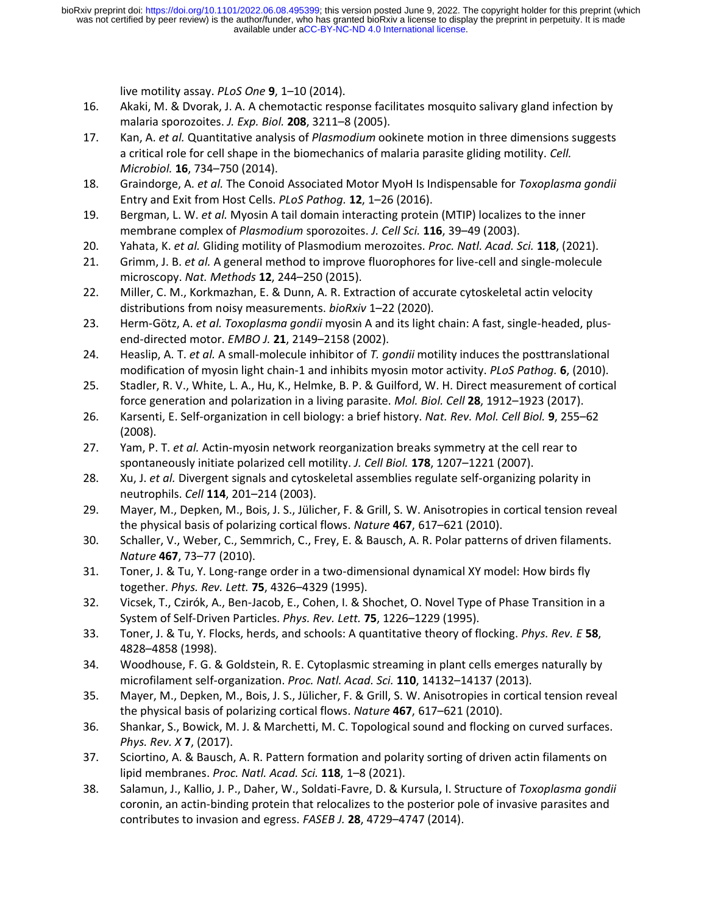live motility assay. *PLoS One* **9**, 1–10 (2014).

- 16. Akaki, M. & Dvorak, J. A. A chemotactic response facilitates mosquito salivary gland infection by malaria sporozoites. *J. Exp. Biol.* **208**, 3211–8 (2005).
- 17. Kan, A. *et al.* Quantitative analysis of *Plasmodium* ookinete motion in three dimensions suggests a critical role for cell shape in the biomechanics of malaria parasite gliding motility. *Cell. Microbiol.* **16**, 734–750 (2014).
- 18. Graindorge, A. *et al.* The Conoid Associated Motor MyoH Is Indispensable for *Toxoplasma gondii* Entry and Exit from Host Cells. *PLoS Pathog.* **12**, 1–26 (2016).
- 19. Bergman, L. W. *et al.* Myosin A tail domain interacting protein (MTIP) localizes to the inner membrane complex of *Plasmodium* sporozoites. *J. Cell Sci.* **116**, 39–49 (2003).
- 20. Yahata, K. *et al.* Gliding motility of Plasmodium merozoites. *Proc. Natl. Acad. Sci.* **118**, (2021).
- 21. Grimm, J. B. *et al.* A general method to improve fluorophores for live-cell and single-molecule microscopy. *Nat. Methods* **12**, 244–250 (2015).
- 22. Miller, C. M., Korkmazhan, E. & Dunn, A. R. Extraction of accurate cytoskeletal actin velocity distributions from noisy measurements. *bioRxiv* 1–22 (2020).
- 23. Herm-Götz, A. *et al. Toxoplasma gondii* myosin A and its light chain: A fast, single-headed, plusend-directed motor. *EMBO J.* **21**, 2149–2158 (2002).
- 24. Heaslip, A. T. *et al.* A small-molecule inhibitor of *T. gondii* motility induces the posttranslational modification of myosin light chain-1 and inhibits myosin motor activity. *PLoS Pathog.* **6**, (2010).
- 25. Stadler, R. V., White, L. A., Hu, K., Helmke, B. P. & Guilford, W. H. Direct measurement of cortical force generation and polarization in a living parasite. *Mol. Biol. Cell* **28**, 1912–1923 (2017).
- 26. Karsenti, E. Self-organization in cell biology: a brief history. *Nat. Rev. Mol. Cell Biol.* **9**, 255–62 (2008).
- 27. Yam, P. T. *et al.* Actin-myosin network reorganization breaks symmetry at the cell rear to spontaneously initiate polarized cell motility. *J. Cell Biol.* **178**, 1207–1221 (2007).
- 28. Xu, J. *et al.* Divergent signals and cytoskeletal assemblies regulate self-organizing polarity in neutrophils. *Cell* **114**, 201–214 (2003).
- 29. Mayer, M., Depken, M., Bois, J. S., Jülicher, F. & Grill, S. W. Anisotropies in cortical tension reveal the physical basis of polarizing cortical flows. *Nature* **467**, 617–621 (2010).
- 30. Schaller, V., Weber, C., Semmrich, C., Frey, E. & Bausch, A. R. Polar patterns of driven filaments. *Nature* **467**, 73–77 (2010).
- 31. Toner, J. & Tu, Y. Long-range order in a two-dimensional dynamical XY model: How birds fly together. *Phys. Rev. Lett.* **75**, 4326–4329 (1995).
- 32. Vicsek, T., Czirók, A., Ben-Jacob, E., Cohen, I. & Shochet, O. Novel Type of Phase Transition in a System of Self-Driven Particles. *Phys. Rev. Lett.* **75**, 1226–1229 (1995).
- 33. Toner, J. & Tu, Y. Flocks, herds, and schools: A quantitative theory of flocking. *Phys. Rev. E* **58**, 4828–4858 (1998).
- 34. Woodhouse, F. G. & Goldstein, R. E. Cytoplasmic streaming in plant cells emerges naturally by microfilament self-organization. *Proc. Natl. Acad. Sci.* **110**, 14132–14137 (2013).
- 35. Mayer, M., Depken, M., Bois, J. S., Jülicher, F. & Grill, S. W. Anisotropies in cortical tension reveal the physical basis of polarizing cortical flows. *Nature* **467**, 617–621 (2010).
- 36. Shankar, S., Bowick, M. J. & Marchetti, M. C. Topological sound and flocking on curved surfaces. *Phys. Rev. X* **7**, (2017).
- 37. Sciortino, A. & Bausch, A. R. Pattern formation and polarity sorting of driven actin filaments on lipid membranes. *Proc. Natl. Acad. Sci.* **118**, 1–8 (2021).
- 38. Salamun, J., Kallio, J. P., Daher, W., Soldati-Favre, D. & Kursula, I. Structure of *Toxoplasma gondii* coronin, an actin-binding protein that relocalizes to the posterior pole of invasive parasites and contributes to invasion and egress. *FASEB J.* **28**, 4729–4747 (2014).